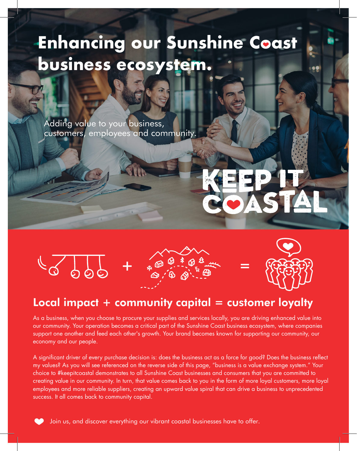# **Enhancing our Sunshine Coast business ecosystem.**

Adding value to your business, customers, employees and community.







## Local impact  $+$  community capital  $=$  customer loyalty

As a business, when you choose to procure your supplies and services locally, you are driving enhanced value into our community. Your operation becomes a critical part of the Sunshine Coast business ecosystem, where companies support one another and feed each other's growth. Your brand becomes known for supporting our community, our economy and our people.

A significant driver of every purchase decision is: does the business act as a force for good? Does the business reflect my values? As you will see referenced on the reverse side of this page, "business is a value exchange system." Your choice to #keepitcoastal demonstrates to all Sunshine Coast businesses and consumers that you are committed to creating value in our community. In turn, that value comes back to you in the form of more loyal customers, more loyal employees and more reliable suppliers, creating an upward value spiral that can drive a business to unprecedented success. It all comes back to community capital.